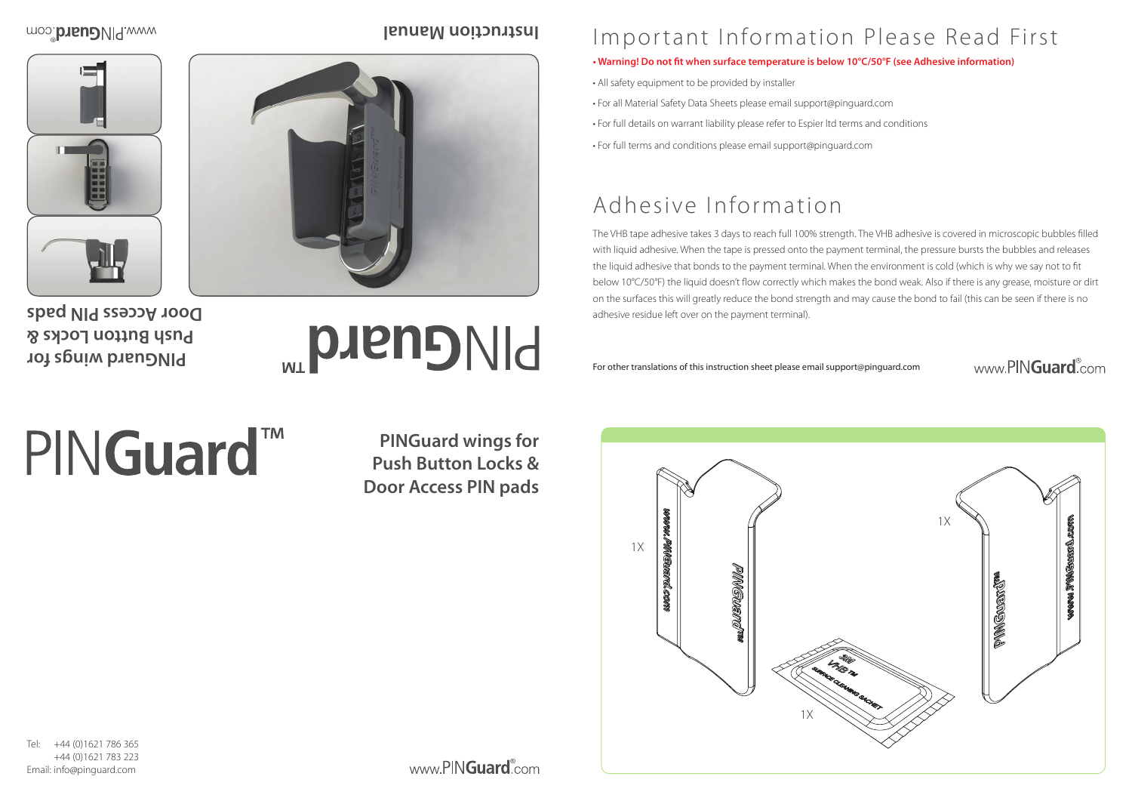

# Important Information Please Read First

### **• Warning! Do not fit when surface temperature is below 10°C/50°F (see Adhesive information)**

- All safety equipment to be provided by installer
- For all Material Safety Data Sheets please email support@pinguard.com
- For full details on warrant liability please refer to Espier ltd terms and conditions
- For full terms and conditions please email support@pinguard.com

# Adhesive Information

+44 (0)1621 786 365 +44 (0)1621 783 223 Email: info@pinguard.com

www.PINGuard<sup>®</sup>com





## www.PINGuard.com

The VHB tape adhesive takes 3 days to reach full 100% strength. The VHB adhesive is covered in microscopic bubbles filled with liquid adhesive. When the tape is pressed onto the payment terminal, the pressure bursts the bubbles and releases the liquid adhesive that bonds to the payment terminal. When the environment is cold (which is why we say not to fit below 10°C/50°F) the liquid doesn't flow correctly which makes the bond weak. Also if there is any grease, moisture or dirt on the surfaces this will greatly reduce the bond strength and may cause the bond to fail (this can be seen if there is no adhesive residue left over on the payment terminal).

For other translations of this instruction sheet please email support@pinguard.com

**PINGuard wings for Push Button Locks & Door Access PIN pads**

### moo: brieual.com

## **PINGuard wings for Push Button Locks & Door Access PIN pads**

# **PINGuard**

# PINGuard<sup>™</sup>

**Instruction Manual**